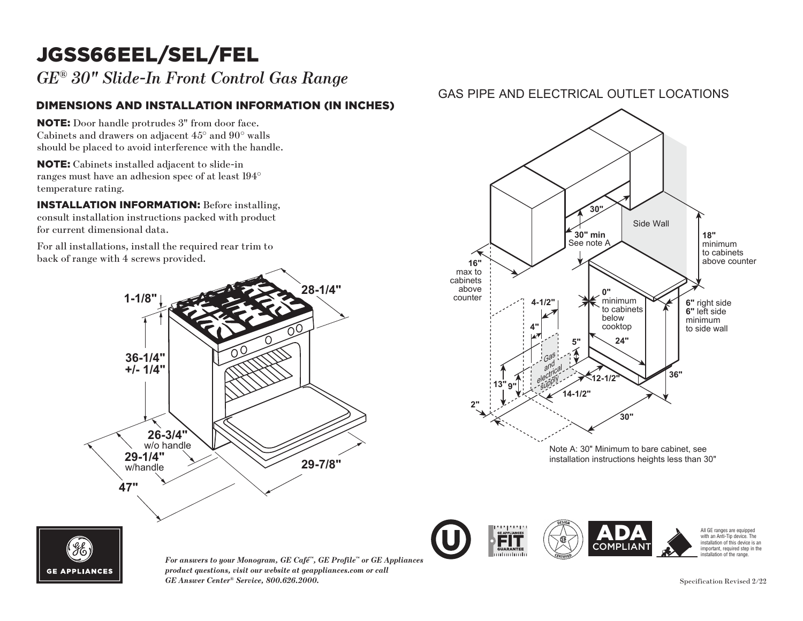# JGSS66EEL/SEL/FEL

*GE® 30" Slide-In Front Control Gas Range*

### DIMENSIONS AND INSTALLATION INFORMATION (IN INCHES)

NOTE: Door handle protrudes 3" from door face. Cabinets and drawers on adjacent 45° and 90° walls should be placed to avoid interference with the handle.

NOTE: Cabinets installed adjacent to slide-in **18"** ranges must have an adhesion spec of at least 194<sup>°</sup> temperature rating. ges must l

INSTALLATION INFORMATION: Before installing, consult installation instructions packed with product for current dimensional data.

For all installations, install the required rear trim to back of range with 4 screws provided. For all i



### GAS PIPE AND ELECTRICAL OUTLET LOCATIONS





*For answers to your Monogram, GE Café™, GE Profile™ or GE Appliances product questions, visit our website at geappliances.com or call GE Answer Center® Service, 800.626.2000.* Specification Revised 2/22